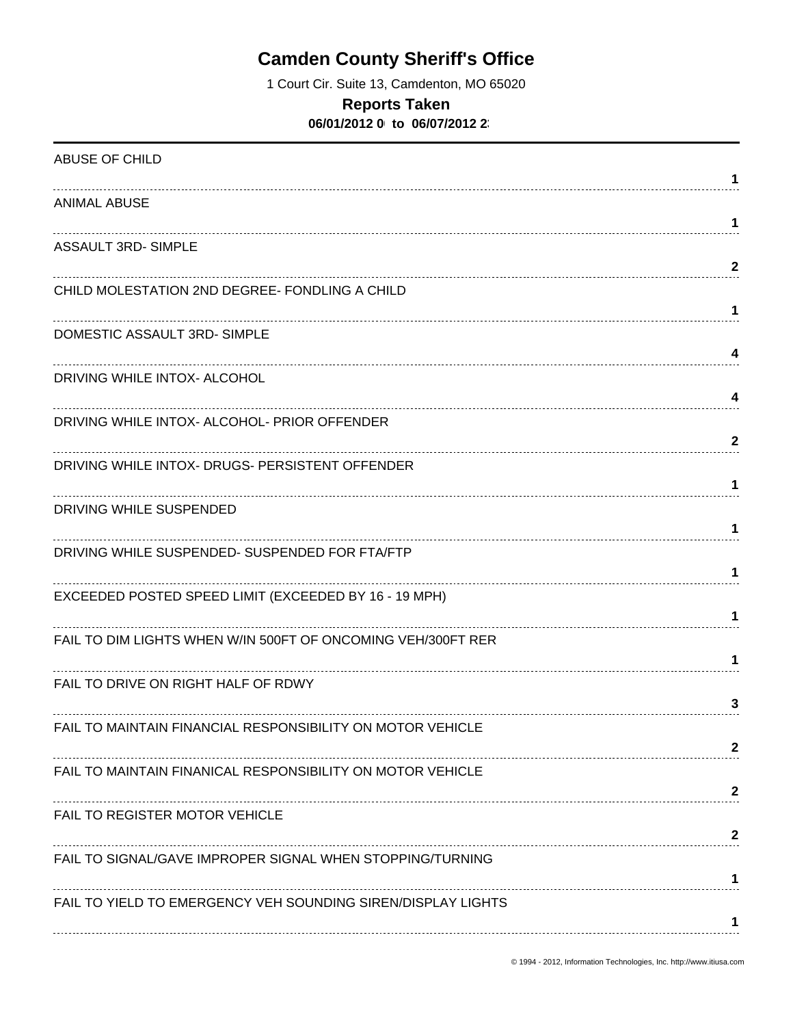# **Camden County Sheriff's Office**

1 Court Cir. Suite 13, Camdenton, MO 65020

### **Reports Taken**

**06/01/2012 0 to 06/07/2012 23** 

| ABUSE OF CHILD                                               | 1            |
|--------------------------------------------------------------|--------------|
| <b>ANIMAL ABUSE</b>                                          | 1            |
| <b>ASSAULT 3RD- SIMPLE</b>                                   | 2            |
| CHILD MOLESTATION 2ND DEGREE- FONDLING A CHILD               | 1            |
| DOMESTIC ASSAULT 3RD-SIMPLE                                  | 4            |
| DRIVING WHILE INTOX- ALCOHOL                                 | 4            |
| DRIVING WHILE INTOX- ALCOHOL- PRIOR OFFENDER                 | $\mathbf{2}$ |
| DRIVING WHILE INTOX- DRUGS- PERSISTENT OFFENDER              | 1            |
| DRIVING WHILE SUSPENDED                                      | 1            |
| DRIVING WHILE SUSPENDED- SUSPENDED FOR FTA/FTP               |              |
| EXCEEDED POSTED SPEED LIMIT (EXCEEDED BY 16 - 19 MPH)        | 1.           |
| FAIL TO DIM LIGHTS WHEN W/IN 500FT OF ONCOMING VEH/300FT RER | 1            |
| FAIL TO DRIVE ON RIGHT HALF OF RDWY                          | 3            |
| FAIL TO MAINTAIN FINANCIAL RESPONSIBILITY ON MOTOR VEHICLE   | 2            |
| FAIL TO MAINTAIN FINANICAL RESPONSIBILITY ON MOTOR VEHICLE   | $\mathbf{2}$ |
| FAIL TO REGISTER MOTOR VEHICLE                               | 2            |
| FAIL TO SIGNAL/GAVE IMPROPER SIGNAL WHEN STOPPING/TURNING    | 1            |
| FAIL TO YIELD TO EMERGENCY VEH SOUNDING SIREN/DISPLAY LIGHTS | 1            |
|                                                              |              |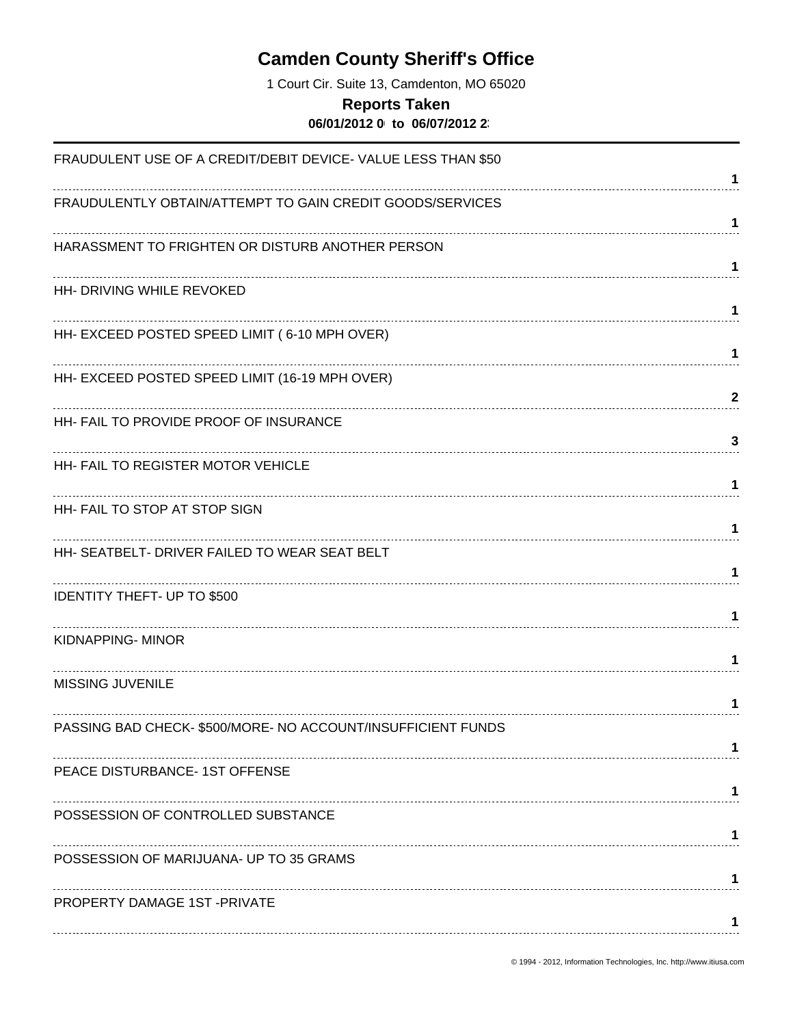# **Camden County Sheriff's Office**

1 Court Cir. Suite 13, Camdenton, MO 65020

#### **Reports Taken**

**06/01/2012 0 to 06/07/2012 23** 

| FRAUDULENT USE OF A CREDIT/DEBIT DEVICE- VALUE LESS THAN \$50 | 1            |
|---------------------------------------------------------------|--------------|
| FRAUDULENTLY OBTAIN/ATTEMPT TO GAIN CREDIT GOODS/SERVICES     | 1            |
| HARASSMENT TO FRIGHTEN OR DISTURB ANOTHER PERSON              | 1            |
| HH- DRIVING WHILE REVOKED                                     | 1            |
| HH- EXCEED POSTED SPEED LIMIT (6-10 MPH OVER)                 | 1            |
| HH- EXCEED POSTED SPEED LIMIT (16-19 MPH OVER)                | $\mathbf{2}$ |
| HH- FAIL TO PROVIDE PROOF OF INSURANCE                        | 3            |
| HH- FAIL TO REGISTER MOTOR VEHICLE                            | 1            |
| HH- FAIL TO STOP AT STOP SIGN                                 | 1            |
| HH- SEATBELT- DRIVER FAILED TO WEAR SEAT BELT                 | 1            |
| <b>IDENTITY THEFT- UP TO \$500</b>                            |              |
| KIDNAPPING- MINOR                                             | 1            |
| MISSING JUVENILE                                              | 1            |
| PASSING BAD CHECK-\$500/MORE- NO ACCOUNT/INSUFFICIENT FUNDS   |              |
| PEACE DISTURBANCE- 1ST OFFENSE                                |              |
| POSSESSION OF CONTROLLED SUBSTANCE                            | 1            |
| POSSESSION OF MARIJUANA- UP TO 35 GRAMS                       |              |
| PROPERTY DAMAGE 1ST-PRIVATE                                   | 1            |
|                                                               | 1            |